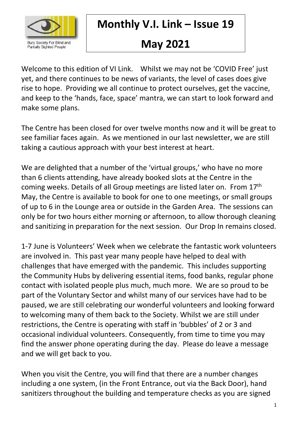

**Monthly V.I. Link – Issue 19**

# **May 2021**

Welcome to this edition of VI Link. Whilst we may not be 'COVID Free' just yet, and there continues to be news of variants, the level of cases does give rise to hope. Providing we all continue to protect ourselves, get the vaccine, and keep to the 'hands, face, space' mantra, we can start to look forward and make some plans.

The Centre has been closed for over twelve months now and it will be great to see familiar faces again. As we mentioned in our last newsletter, we are still taking a cautious approach with your best interest at heart.

We are delighted that a number of the 'virtual groups,' who have no more than 6 clients attending, have already booked slots at the Centre in the coming weeks. Details of all Group meetings are listed later on. From 17th May, the Centre is available to book for one to one meetings, or small groups of up to 6 in the Lounge area or outside in the Garden Area. The sessions can only be for two hours either morning or afternoon, to allow thorough cleaning and sanitizing in preparation for the next session. Our Drop In remains closed.

1-7 June is Volunteers' Week when we celebrate the fantastic work volunteers are involved in. This past year many people have helped to deal with challenges that have emerged with the pandemic. This includes supporting the Community Hubs by delivering essential items, food banks, regular phone contact with isolated people plus much, much more. We are so proud to be part of the Voluntary Sector and whilst many of our services have had to be paused, we are still celebrating our wonderful volunteers and looking forward to welcoming many of them back to the Society. Whilst we are still under restrictions, the Centre is operating with staff in 'bubbles' of 2 or 3 and occasional individual volunteers. Consequently, from time to time you may find the answer phone operating during the day. Please do leave a message and we will get back to you.

When you visit the Centre, you will find that there are a number changes including a one system, (in the Front Entrance, out via the Back Door), hand sanitizers throughout the building and temperature checks as you are signed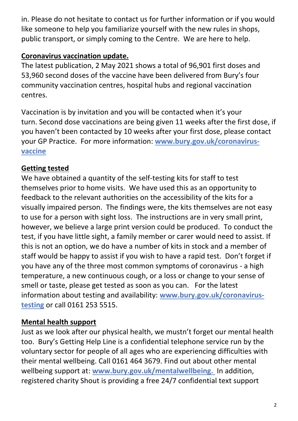in. Please do not hesitate to contact us for further information or if you would like someone to help you familiarize yourself with the new rules in shops, public transport, or simply coming to the Centre. We are here to help.

## **Coronavirus vaccination update.**

The latest publication, 2 May 2021 shows a total of 96,901 first doses and 53,960 second doses of the vaccine have been delivered from Bury's four community vaccination centres, hospital hubs and regional vaccination centres.

Vaccination is by invitation and you will be contacted when it's your turn. Second dose vaccinations are being given 11 weeks after the first dose, if you haven't been contacted by 10 weeks after your first dose, please contact your GP Practice. For more information: **[www.bury.gov.uk/coronavirus](http://www.bury.gov.uk/coronavirus-vaccine)[vaccine](http://www.bury.gov.uk/coronavirus-vaccine)**

#### **Getting tested**

We have obtained a quantity of the self-testing kits for staff to test themselves prior to home visits. We have used this as an opportunity to feedback to the relevant authorities on the accessibility of the kits for a visually impaired person. The findings were, the kits themselves are not easy to use for a person with sight loss. The instructions are in very small print, however, we believe a large print version could be produced. To conduct the test, if you have little sight, a family member or carer would need to assist. If this is not an option, we do have a number of kits in stock and a member of staff would be happy to assist if you wish to have a rapid test. Don't forget if you have any of the three most common symptoms of coronavirus - a high temperature, a new continuous cough, or a loss or change to your sense of smell or taste, please get tested as soon as you can. For the latest information about testing and availability: **[www.bury.gov.uk/coronavirus](http://www.bury.gov.uk/coronavirus-testing)[testing](http://www.bury.gov.uk/coronavirus-testing)** or call 0161 253 5515.

#### **Mental health support**

Just as we look after our physical health, we mustn't forget our mental health too. Bury's Getting Help Line is a confidential telephone service run by the voluntary sector for people of all ages who are experiencing difficulties with their mental wellbeing. Call 0161 464 3679. Find out about other mental wellbeing support at: **[www.bury.gov.uk/mentalwellbeing.](http://www.bury.gov.uk/mentalwellbeing)** In addition, registered charity Shout is providing a free 24/7 confidential text support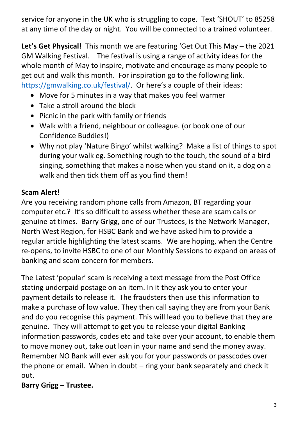service for anyone in the UK who is struggling to cope. Text 'SHOUT' to 85258 at any time of the day or night. You will be connected to a trained volunteer.

**Let's Get Physical!** This month we are featuring 'Get Out This May – the 2021 GM Walking Festival. The festival is using a range of activity ideas for the whole month of May to inspire, motivate and encourage as many people to get out and walk this month. For inspiration go to the following link. [https://gmwalking.co.uk/festival/.](https://gmwalking.co.uk/festival/) Or here's a couple of their ideas:

- Move for 5 minutes in a way that makes you feel warmer
- Take a stroll around the block
- Picnic in the park with family or friends
- Walk with a friend, neighbour or colleague. (or book one of our Confidence Buddies!)
- Why not play 'Nature Bingo' whilst walking? Make a list of things to spot during your walk eg. Something rough to the touch, the sound of a bird singing, something that makes a noise when you stand on it, a dog on a walk and then tick them off as you find them!

# **Scam Alert!**

Are you receiving random phone calls from Amazon, BT regarding your computer etc.? It's so difficult to assess whether these are scam calls or genuine at times. Barry Grigg, one of our Trustees, is the Network Manager, North West Region, for HSBC Bank and we have asked him to provide a regular article highlighting the latest scams. We are hoping, when the Centre re-opens, to invite HSBC to one of our Monthly Sessions to expand on areas of banking and scam concern for members.

The Latest 'popular' scam is receiving a text message from the Post Office stating underpaid postage on an item. In it they ask you to enter your payment details to release it. The fraudsters then use this information to make a purchase of low value. They then call saying they are from your Bank and do you recognise this payment. This will lead you to believe that they are genuine. They will attempt to get you to release your digital Banking information passwords, codes etc and take over your account, to enable them to move money out, take out loan in your name and send the money away. Remember NO Bank will ever ask you for your passwords or passcodes over the phone or email. When in doubt – ring your bank separately and check it out.

# **Barry Grigg – Trustee.**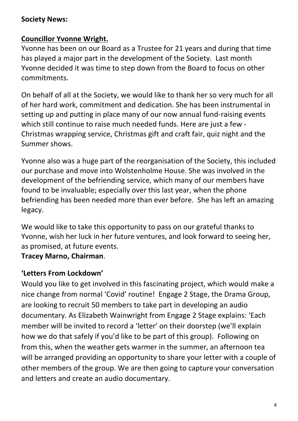#### **Society News:**

#### **Councillor Yvonne Wright.**

Yvonne has been on our Board as a Trustee for 21 years and during that time has played a major part in the development of the Society. Last month Yvonne decided it was time to step down from the Board to focus on other commitments.

On behalf of all at the Society, we would like to thank her so very much for all of her hard work, commitment and dedication. She has been instrumental in setting up and putting in place many of our now annual fund-raising events which still continue to raise much needed funds. Here are just a few - Christmas wrapping service, Christmas gift and craft fair, quiz night and the Summer shows.

Yvonne also was a huge part of the reorganisation of the Society, this included our purchase and move into Wolstenholme House. She was involved in the development of the befriending service, which many of our members have found to be invaluable; especially over this last year, when the phone befriending has been needed more than ever before. She has left an amazing legacy.

We would like to take this opportunity to pass on our grateful thanks to Yvonne, wish her luck in her future ventures, and look forward to seeing her, as promised, at future events.

#### **Tracey Marno, Chairman**.

#### **'Letters From Lockdown'**

Would you like to get involved in this fascinating project, which would make a nice change from normal 'Covid' routine! Engage 2 Stage, the Drama Group, are looking to recruit 50 members to take part in developing an audio documentary. As Elizabeth Wainwright from Engage 2 Stage explains: 'Each member will be invited to record a 'letter' on their doorstep (we'll explain how we do that safely if you'd like to be part of this group). Following on from this, when the weather gets warmer in the summer, an afternoon tea will be arranged providing an opportunity to share your letter with a couple of other members of the group. We are then going to capture your conversation and letters and create an audio documentary.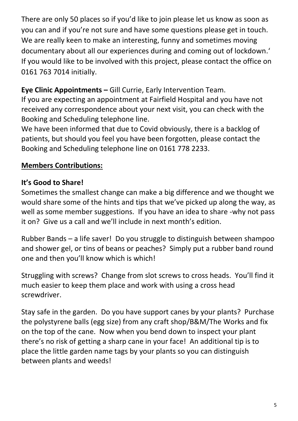There are only 50 places so if you'd like to join please let us know as soon as you can and if you're not sure and have some questions please get in touch. We are really keen to make an interesting, funny and sometimes moving documentary about all our experiences during and coming out of lockdown.' If you would like to be involved with this project, please contact the office on 0161 763 7014 initially.

#### **Eye Clinic Appointments –** Gill Currie, Early Intervention Team.

If you are expecting an appointment at Fairfield Hospital and you have not received any correspondence about your next visit, you can check with the Booking and Scheduling telephone line.

We have been informed that due to Covid obviously, there is a backlog of patients, but should you feel you have been forgotten, please contact the Booking and Scheduling telephone line on 0161 778 2233.

## **Members Contributions:**

## **It's Good to Share!**

Sometimes the smallest change can make a big difference and we thought we would share some of the hints and tips that we've picked up along the way, as well as some member suggestions. If you have an idea to share -why not pass it on? Give us a call and we'll include in next month's edition.

Rubber Bands – a life saver! Do you struggle to distinguish between shampoo and shower gel, or tins of beans or peaches? Simply put a rubber band round one and then you'll know which is which!

Struggling with screws? Change from slot screws to cross heads. You'll find it much easier to keep them place and work with using a cross head screwdriver.

Stay safe in the garden. Do you have support canes by your plants? Purchase the polystyrene balls (egg size) from any craft shop/B&M/The Works and fix on the top of the cane. Now when you bend down to inspect your plant there's no risk of getting a sharp cane in your face! An additional tip is to place the little garden name tags by your plants so you can distinguish between plants and weeds!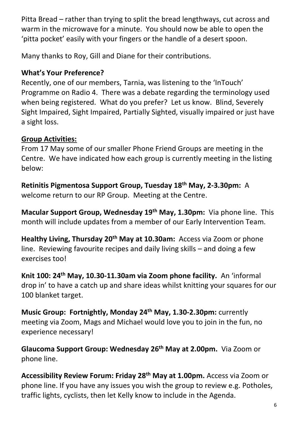Pitta Bread – rather than trying to split the bread lengthways, cut across and warm in the microwave for a minute. You should now be able to open the 'pitta pocket' easily with your fingers or the handle of a desert spoon.

Many thanks to Roy, Gill and Diane for their contributions.

#### **What's Your Preference?**

Recently, one of our members, Tarnia, was listening to the 'InTouch' Programme on Radio 4. There was a debate regarding the terminology used when being registered. What do you prefer? Let us know. Blind, Severely Sight Impaired, Sight Impaired, Partially Sighted, visually impaired or just have a sight loss.

#### **Group Activities:**

From 17 May some of our smaller Phone Friend Groups are meeting in the Centre. We have indicated how each group is currently meeting in the listing below:

**Retinitis Pigmentosa Support Group, Tuesday 18th May, 2-3.30pm:** A welcome return to our RP Group. Meeting at the Centre.

**Macular Support Group, Wednesday 19th May, 1.30pm:** Via phone line. This month will include updates from a member of our Early Intervention Team.

**Healthy Living, Thursday 20th May at 10.30am:** Access via Zoom or phone line. Reviewing favourite recipes and daily living skills – and doing a few exercises too!

**Knit 100: 24th May, 10.30-11.30am via Zoom phone facility.** An 'informal drop in' to have a catch up and share ideas whilst knitting your squares for our 100 blanket target.

**Music Group: Fortnightly, Monday 24th May, 1.30-2.30pm:** currently meeting via Zoom, Mags and Michael would love you to join in the fun, no experience necessary!

**Glaucoma Support Group: Wednesday 26th May at 2.00pm.** Via Zoom or phone line.

**Accessibility Review Forum: Friday 28th May at 1.00pm.** Access via Zoom or phone line. If you have any issues you wish the group to review e.g. Potholes, traffic lights, cyclists, then let Kelly know to include in the Agenda.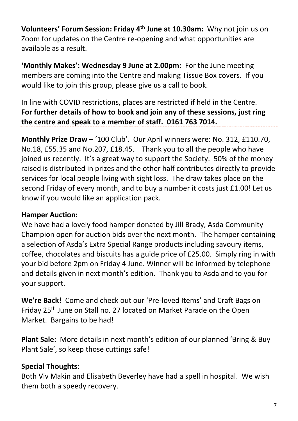**Volunteers' Forum Session: Friday 4th June at 10.30am:** Why not join us on Zoom for updates on the Centre re-opening and what opportunities are available as a result.

**'Monthly Makes': Wednesday 9 June at 2.00pm:** For the June meeting members are coming into the Centre and making Tissue Box covers. If you would like to join this group, please give us a call to book.

In line with COVID restrictions, places are restricted if held in the Centre. **For further details of how to book and join any of these sessions, just ring the centre and speak to a member of staff. 0161 763 7014.**

**Monthly Prize Draw –** '100 Club'. Our April winners were: No. 312, £110.70, No.18, £55.35 and No.207, £18.45. Thank you to all the people who have joined us recently. It's a great way to support the Society. 50% of the money raised is distributed in prizes and the other half contributes directly to provide services for local people living with sight loss. The draw takes place on the second Friday of every month, and to buy a number it costs just £1.00! Let us know if you would like an application pack.

#### **Hamper Auction:**

We have had a lovely food hamper donated by Jill Brady, Asda Community Champion open for auction bids over the next month. The hamper containing a selection of Asda's Extra Special Range products including savoury items, coffee, chocolates and biscuits has a guide price of £25.00. Simply ring in with your bid before 2pm on Friday 4 June. Winner will be informed by telephone and details given in next month's edition. Thank you to Asda and to you for your support.

**We're Back!** Come and check out our 'Pre-loved Items' and Craft Bags on Friday 25th June on Stall no. 27 located on Market Parade on the Open Market. Bargains to be had!

**Plant Sale:** More details in next month's edition of our planned 'Bring & Buy Plant Sale', so keep those cuttings safe!

## **Special Thoughts:**

Both Viv Makin and Elisabeth Beverley have had a spell in hospital. We wish them both a speedy recovery.